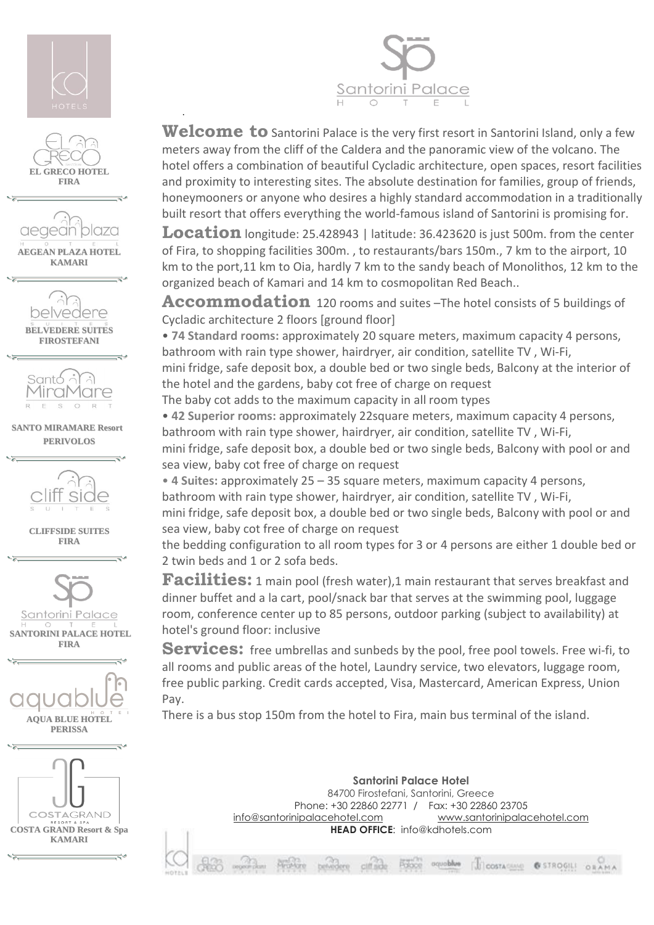

·





Welcome to Santorini Palace is the very first resort in Santorini Island, only a few meters away from the cliff of the Caldera and the panoramic view of the volcano. The hotel offers a combination of beautiful Cycladic architecture, open spaces, resort facilities and proximity to interesting sites. The absolute destination for families, group of friends, honeymooners or anyone who desires a highly standard accommodation in a traditionally built resort that offers everything the world-famous island of Santorini is promising for.

**Location** longitude: 25.428943 | latitude: 36.423620 is just 500m. from the center of Fira, to shopping facilities 300m. , to restaurants/bars 150m., 7 km to the airport, 10 km to the port,11 km to Oia, hardly 7 km to the sandy beach of Monolithos, 12 km to the organized beach of Kamari and 14 km to cosmopolitan Red Beach..

Accommodation 120 rooms and suites -The hotel consists of 5 buildings of Cycladic architecture 2 floors [ground floor]

• **74 Standard rooms:** approximately 20 square meters, maximum capacity 4 persons, bathroom with rain type shower, hairdryer, air condition, satellite TV , Wi-Fi,

mini fridge, safe deposit box, a double bed or two single beds, Balcony at the interior of the hotel and the gardens, baby cot free of charge on request

The baby cot adds to the maximum capacity in all room types

• **42 Superior rooms:** approximately 22square meters, maximum capacity 4 persons, bathroom with rain type shower, hairdryer, air condition, satellite TV , Wi-Fi,

mini fridge, safe deposit box, a double bed or two single beds, Balcony with pool or and sea view, baby cot free of charge on request

• **4 Suites:** approximately 25 – 35 square meters, maximum capacity 4 persons, bathroom with rain type shower, hairdryer, air condition, satellite TV , Wi-Fi,

mini fridge, safe deposit box, a double bed or two single beds, Balcony with pool or and sea view, baby cot free of charge on request

the bedding configuration to all room types for 3 or 4 persons are either 1 double bed or 2 twin beds and 1 or 2 sofa beds.

**Facilities:** 1 main pool (fresh water),1 main restaurant that serves breakfast and dinner buffet and a la cart, pool/snack bar that serves at the swimming pool, luggage room, conference center up to 85 persons, outdoor parking (subject to availability) at hotel's ground floor: inclusive

Services: free umbrellas and sunbeds by the pool, free pool towels. Free wi-fi, to all rooms and public areas of the hotel, Laundry service, two elevators, luggage room, free public parking. Credit cards accepted, Visa, Mastercard, American Express, Union Pay.

There is a bus stop 150m from the hotel to Fira, main bus terminal of the island.

**Santorini Palace Hotel** 84700 Firostefani, Santorini, Greece Phone: +30 22860 22771 / Fax: +30 22860 23705 [info@santorinipalacehotel.com](mailto:info@santorinipalacehotel.com) [www.santorinipalacehotel.com](http://www.santorinipalacehotel.com/) **HEAD OFFICE**: info@kdhotels.com

UI COSTAGINO @ STROGILI ORAMA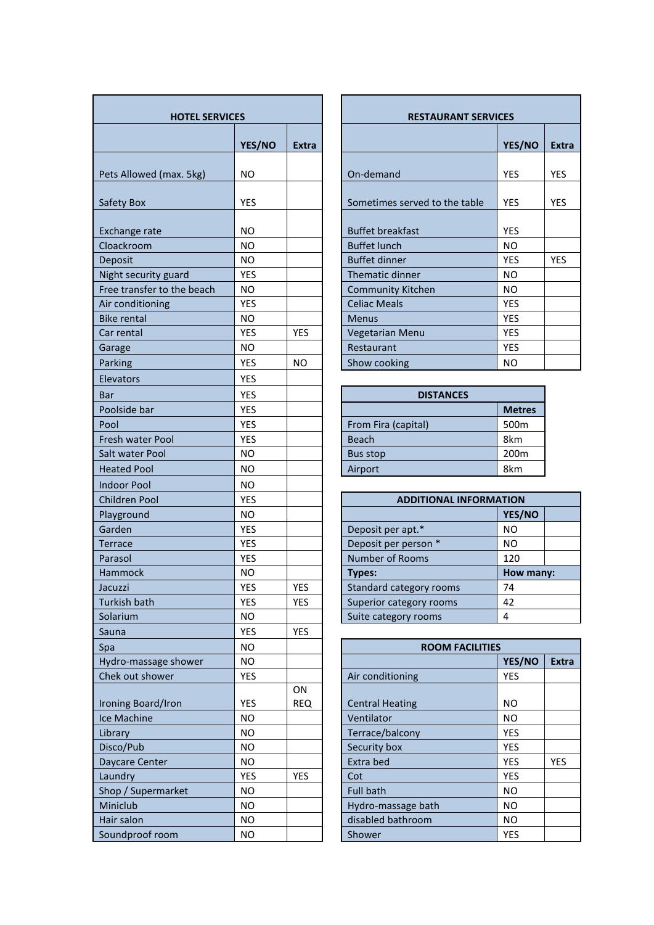| <b>HOTEL SERVICES</b>         |            |                  | <b>RESTAURANT SERVICES</b>    |                  |            |  |
|-------------------------------|------------|------------------|-------------------------------|------------------|------------|--|
|                               | YES/NO     | <b>Extra</b>     |                               | YES/NO           | Ext        |  |
| Pets Allowed (max. 5kg)       | NO.        |                  | On-demand                     | <b>YES</b>       | YES        |  |
| Safety Box                    | YES        |                  | Sometimes served to the table | <b>YES</b>       | YES        |  |
| Exchange rate                 | <b>NO</b>  |                  | <b>Buffet breakfast</b>       | <b>YES</b>       |            |  |
| Cloackroom                    | <b>NO</b>  |                  | <b>Buffet lunch</b>           | <b>NO</b>        |            |  |
| Deposit                       | <b>NO</b>  |                  | <b>Buffet dinner</b>          | <b>YES</b>       | <b>YES</b> |  |
| Night security guard          | YES        |                  | Thematic dinner               | <b>NO</b>        |            |  |
| Free transfer to the beach    | NO.        |                  | <b>Community Kitchen</b>      | <b>NO</b>        |            |  |
| Air conditioning              | <b>YES</b> |                  | <b>Celiac Meals</b>           | <b>YES</b>       |            |  |
| <b>Bike rental</b>            | <b>NO</b>  |                  | <b>Menus</b>                  | <b>YES</b>       |            |  |
| Car rental                    | <b>YES</b> | <b>YES</b>       | Vegetarian Menu               | <b>YES</b>       |            |  |
| Garage                        | <b>NO</b>  |                  | Restaurant                    | <b>YES</b>       |            |  |
| Parking                       | YES        | <b>NO</b>        | Show cooking                  | <b>NO</b>        |            |  |
| Elevators                     | <b>YES</b> |                  |                               |                  |            |  |
| Bar                           | YES        |                  | <b>DISTANCES</b>              |                  |            |  |
| Poolside bar                  | <b>YES</b> |                  |                               | <b>Metres</b>    |            |  |
| Pool                          | YES        |                  | From Fira (capital)           | 500m             |            |  |
| Fresh water Pool              | <b>YES</b> |                  | <b>Beach</b>                  | 8km              |            |  |
| Salt water Pool               | NO.        |                  | <b>Bus stop</b>               | 200 <sub>m</sub> |            |  |
| <b>Heated Pool</b>            | <b>NO</b>  |                  | Airport                       | 8km              |            |  |
|                               |            |                  |                               |                  |            |  |
| <b>Indoor Pool</b>            | <b>NO</b>  |                  |                               |                  |            |  |
| Children Pool                 | <b>YES</b> |                  | <b>ADDITIONAL INFORMATION</b> |                  |            |  |
| Playground                    | <b>NO</b>  |                  |                               | YES/NO           |            |  |
| Garden                        | <b>YES</b> |                  | Deposit per apt.*             | <b>NO</b>        |            |  |
| <b>Terrace</b>                | YES        |                  | Deposit per person *          | <b>NO</b>        |            |  |
| Parasol                       | <b>YES</b> |                  | Number of Rooms               | 120              |            |  |
| Hammock                       | <b>NO</b>  |                  | <b>Types:</b>                 | How many:        |            |  |
| Jacuzzi                       | <b>YES</b> | <b>YES</b>       | Standard category rooms       | 74               |            |  |
| Turkish bath                  | YES.       | <b>YES</b>       | Superior category rooms       | 42<br>4          |            |  |
| Solarium                      | <b>NO</b>  |                  | Suite category rooms          |                  |            |  |
| Sauna                         | YES        | YES              |                               |                  |            |  |
| Spa                           | <b>NO</b>  |                  | <b>ROOM FACILITIES</b>        |                  |            |  |
| Hydro-massage shower          | NO.        |                  |                               | YES/NO           | Ext        |  |
| Chek out shower               | YES        |                  | Air conditioning              | YES              |            |  |
| Ironing Board/Iron            | <b>YES</b> | ON<br><b>REQ</b> | <b>Central Heating</b>        | <b>NO</b>        |            |  |
| Ice Machine                   | NO.        |                  | Ventilator                    | <b>NO</b>        |            |  |
|                               | <b>NO</b>  |                  |                               | <b>YES</b>       |            |  |
| Library<br>Disco/Pub          | <b>NO</b>  |                  | Terrace/balcony               | <b>YES</b>       |            |  |
|                               | <b>NO</b>  |                  | Security box                  | <b>YES</b>       | <b>YES</b> |  |
| Daycare Center                | YES        | YES              | Extra bed<br>Cot              | <b>YES</b>       |            |  |
| Laundry<br>Shop / Supermarket | NO.        |                  | <b>Full bath</b>              | <b>NO</b>        |            |  |
|                               |            |                  |                               | <b>NO</b>        |            |  |
| Miniclub                      | NO.        |                  | Hydro-massage bath            |                  |            |  |
| Hair salon                    | <b>NO</b>  |                  | disabled bathroom             | NO.              |            |  |
| Soundproof room               | <b>NO</b>  |                  | Shower                        | YES              |            |  |

| <b>HOTEL SERVICES</b> |            |              | <b>RESTAURANT SERVICES</b>    |            |              |
|-----------------------|------------|--------------|-------------------------------|------------|--------------|
|                       | YES/NO     | <b>Extra</b> |                               | YES/NO     | <b>Extra</b> |
| ax. 5kg)              | NO.        |              | On-demand                     | <b>YES</b> | <b>YES</b>   |
|                       | <b>YES</b> |              | Sometimes served to the table | <b>YES</b> | <b>YES</b>   |
|                       | NO.        |              | <b>Buffet breakfast</b>       | <b>YES</b> |              |
|                       | NO         |              | <b>Buffet lunch</b>           | NO.        |              |
|                       | NO         |              | <b>Buffet dinner</b>          | <b>YES</b> | <b>YES</b>   |
| uard                  | <b>YES</b> |              | Thematic dinner               | NO.        |              |
| the beach             | NO.        |              | <b>Community Kitchen</b>      | NO.        |              |
|                       | <b>YES</b> |              | <b>Celiac Meals</b>           | <b>YES</b> |              |
|                       | NO.        |              | <b>Menus</b>                  | <b>YES</b> |              |
|                       | <b>YES</b> | <b>YES</b>   | Vegetarian Menu               | <b>YES</b> |              |
|                       | NO.        |              | Restaurant                    | <b>YES</b> |              |
|                       | <b>YES</b> | NO.          | Show cooking                  | NO.        |              |
|                       |            |              |                               |            |              |

| <b>DISTANCES</b>    |                  |  |  |  |  |
|---------------------|------------------|--|--|--|--|
|                     | <b>Metres</b>    |  |  |  |  |
| From Fira (capital) | 500 <sub>m</sub> |  |  |  |  |
| <b>Beach</b>        | 8km              |  |  |  |  |
| Bus stop            | 200 <sub>m</sub> |  |  |  |  |
| Airport             | 8km              |  |  |  |  |

| <b>ADDITIONAL INFORMATION</b> |           |  |  |  |  |  |
|-------------------------------|-----------|--|--|--|--|--|
|                               | YES/NO    |  |  |  |  |  |
| Deposit per apt.*             | NΟ        |  |  |  |  |  |
| Deposit per person *          | NΟ        |  |  |  |  |  |
| <b>Number of Rooms</b>        | 120       |  |  |  |  |  |
| Types:                        | How many: |  |  |  |  |  |
| Standard category rooms       | 74        |  |  |  |  |  |
| Superior category rooms       | 42        |  |  |  |  |  |
| Suite category rooms          |           |  |  |  |  |  |
|                               |           |  |  |  |  |  |

| Spa                  | NO.        |            | <b>ROOM FACILITIES</b> |            |              |
|----------------------|------------|------------|------------------------|------------|--------------|
| Hydro-massage shower | NO.        |            |                        | YES/NO     | <b>Extra</b> |
| Chek out shower      | <b>YES</b> |            | Air conditioning       | <b>YES</b> |              |
|                      |            | ON         |                        |            |              |
| Ironing Board/Iron   | <b>YES</b> | <b>REQ</b> | <b>Central Heating</b> | NO.        |              |
| Ice Machine          | NO.        |            | Ventilator             | NO.        |              |
| Library              | NO.        |            | Terrace/balcony        | <b>YES</b> |              |
| Disco/Pub            | NO.        |            | Security box           | <b>YES</b> |              |
| Daycare Center       | NO.        |            | Extra bed              | <b>YES</b> | <b>YES</b>   |
| Laundry              | <b>YES</b> | <b>YES</b> | Cot                    | <b>YES</b> |              |
| Shop / Supermarket   | NO.        |            | <b>Full bath</b>       | <b>NO</b>  |              |
| Miniclub             | NO.        |            | Hydro-massage bath     | NO.        |              |
| Hair salon           | NO.        |            | disabled bathroom      | NO.        |              |
| Soundproof room      | NO.        |            | Shower                 | <b>YES</b> |              |